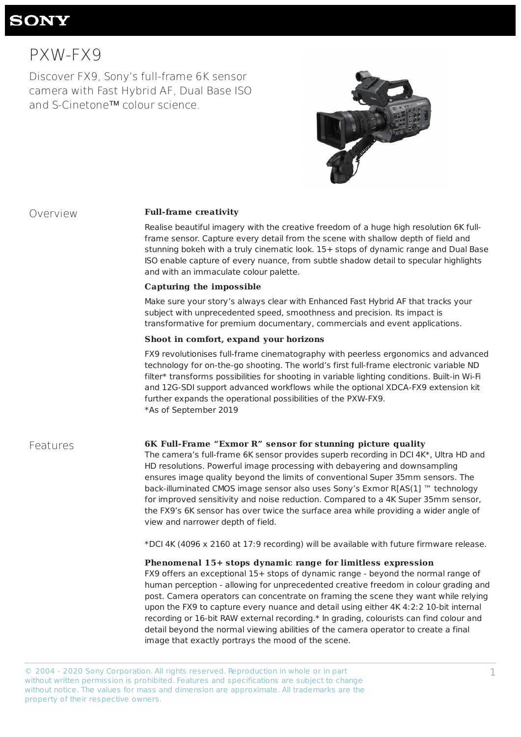© 2004 - 2020 Sony Corporation. All rights reserved. Reproduction in whole or in part without written permission is prohibited. Features and specifications are subject to change without notice. The values for mass and dimension are approximate. All trademarks are the property of their respective owners.

# **SONY**

# PXW-FX9

Discover FX9, Sony's full-frame 6K sensor camera with Fast Hybrid AF, Dual Base ISO and S-Cinetone™ colour science.



### Overview **Full-frame creativity**

Realise beautiful imagery with the creative freedom of a huge high resolution 6K fullframe sensor. Capture every detail from the scene with shallow depth of field and stunning bokeh with a truly cinematic look. 15+ stops of dynamic range and Dual Base ISO enable capture of every nuance, from subtle shadow detail to specular highlights and with an immaculate colour palette.

### **Capturing the impossible**

Make sure your story's always clear with Enhanced Fast Hybrid AF that tracks your subject with unprecedented speed, smoothness and precision. Its impact is transformative for premium documentary, commercials and event applications.

### **Shoot in comfort, expand your horizons**

FX9 revolutionises full-frame cinematography with peerless ergonomics and advanced technology for on-the-go shooting. The world's first full-frame electronic variable ND filter\* transforms possibilities for shooting in variable lighting conditions. Built-in Wi-Fi and 12G-SDI support advanced workflows while the optional XDCA-FX9 extension kit further expands the operational possibilities of the PXW-FX9. \*As of September 2019

### **Features 6K Full-Frame "Exmor R" sensor for stunning picture quality**

The camera's full-frame  $6K$  sensor provides superb recording in DCI 4K\*, Ultra HD and HD resolutions. Powerful image processing with debayering and downsampling ensures image quality beyond the limits of conventional Super 35mm sensors. The back-illuminated CMOS image sensor also uses Sony's Exmor R[AS(1] ™ technology for improved sensitivity and noise reduction. Compared to a 4K Super 35mm sensor, the FX9's 6K sensor has over twice the surface area while providing a wider angle of view and narrower depth of field.

\*DCI 4K (4096 x 2160 at 17:9 recording) will be available with future firmware release.

**Phenomenal 15+ stops dynamic range for limitless expression** FX9 offers an exceptional 15+ stops of dynamic range - beyond the normal range of human perception - allowing for unprecedented creative freedom in colour grading and post. Camera operators can concentrate on framing the scene they want while relying upon the FX9 to capture every nuance and detail using either 4K 4:2:2 10-bit internal recording or 16-bit RAW external recording.\* In grading, colourists can find colour and detail beyond the normal viewing abilities of the camera operator to create a final image that exactly portrays the mood of the scene.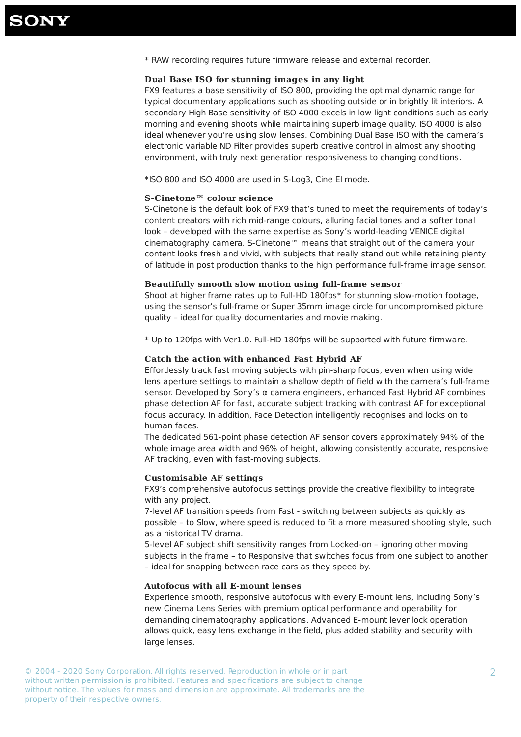\* RAW recording requires future firmware release and external recorder.

### Dual Base ISO for stunning images in any light

FX9 features a base sensitivity of ISO 800, providing the optimal dynamic range for typical documentary applications such as shooting outside or in brightly lit interiors. A secondary High Base sensitivity of ISO 4000 excels in low light conditions such as early morning and evening shoots while maintaining superb image quality. ISO 4000 is also ideal whenever you're using slow lenses. Combining Dual Base ISO with the camera's electronic variable ND Filter provides superb creative control in almost any shooting environment, with truly next generation responsiveness to changing conditions.

\*ISO 800 and ISO 4000 are used in S-Log3, Cine EI mode.

### **S-Cinetone™ colour science**

S-Cinetone is the default look of FX9 that's tuned to meet the requirements of today's content creators with rich mid-range colours, alluring facial tones and a softer tonal look - developed with the same expertise as Sony's world-leading VENICE digital cinematography camera. S-Cinetone™ means that straight out of the camera your content looks fresh and vivid, with subjects that really stand out while retaining plenty of latitude in post production thanks to the high performance full-frame image sensor.

### **Beautifully smooth slow motion using full-frame sensor**

Shoot at higher frame rates up to Full-HD 180fps\* for stunning slow-motion footage, using the sensor's full-frame or Super 35mm image circle for uncompromised picture quality - ideal for quality documentaries and movie making.

\* Up to 120fps with Ver1.0. Full-HD 180fps will be supported with future firmware.

### Catch the action with enhanced Fast Hybrid AF

Effortlessly track fast moving subjects with pin-sharp focus, even when using wide lens aperture settings to maintain a shallow depth of field with the camera's full-frame sensor. Developed by Sony's  $\alpha$  camera engineers, enhanced Fast Hybrid AF combines phase detection AF for fast, accurate subject tracking with contrast AF for exceptional focus accuracy. In addition, Face Detection intelligently recognises and locks on to human faces.

The dedicated 561-point phase detection AF sensor covers approximately 94% of the whole image area width and 96% of height, allowing consistently accurate, responsive AF tracking, even with fast-moving subjects.

### **Customisable AF settings**

FX9's comprehensive autofocus settings provide the creative flexibility to integrate with any project.

7-level AF transition speeds from Fast - switching between subjects as quickly as possible - to Slow, where speed is reduced to fit a more measured shooting style, such as a historical TV drama.

5-level AF subject shift sensitivity ranges from Locked-on - ignoring other moving subjects in the frame - to Responsive that switches focus from one subject to another

– ideal for snapping between race cars as they speed by.

### **Autofocus with all E-mount lenses**

Experience smooth, responsive autofocus with every E-mount lens, including Sony's new Cinema Lens Series with premium optical performance and operability for demanding cinematography applications. Advanced E-mount lever lock operation allows quick, easy lens exchange in the field, plus added stability and security with large lenses.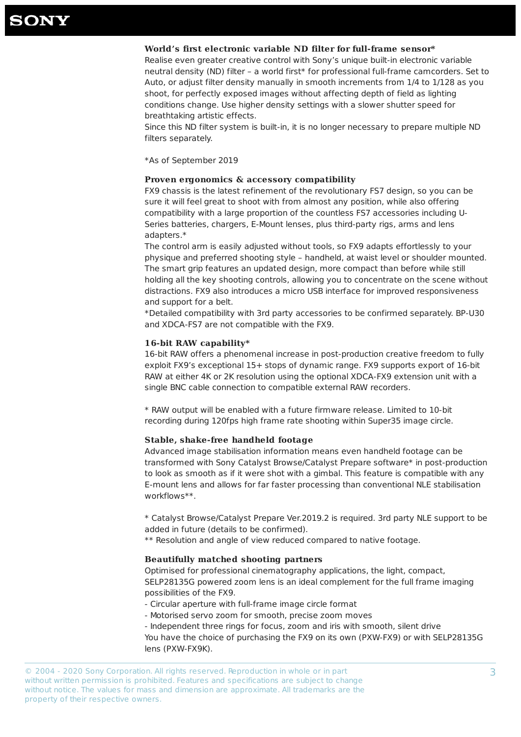## **SONY**

### World's first electronic variable ND filter for full-frame sensor\*

Realise even greater creative control with Sony's unique built-in electronic variable neutral density (ND) filter - a world first\* for professional full-frame camcorders. Set to Auto, or adjust filter density manually in smooth increments from 1/4 to 1/128 as you shoot, for perfectly exposed images without affecting depth of field as lighting conditions change. Use higher density settings with a slower shutter speed for breathtaking artistic effects.

Since this ND filter system is built-in, it is no longer necessary to prepare multiple ND filters separately.

FX9 chassis is the latest refinement of the revolutionary FS7 design, so you can be sure it will feel great to shoot with from almost any position, while also offering compatibility with a large proportion of the countless FS7 accessories including U-Series batteries, chargers, E-Mount lenses, plus third-party rigs, arms and lens adapters.\*

The control arm is easily adjusted without tools, so FX9 adapts effortlessly to your physique and preferred shooting style - handheld, at waist level or shoulder mounted. The smart grip features an updated design, more compact than before while still holding all the key shooting controls, allowing you to concentrate on the scene without distractions. FX9 also introduces a micro USB interface for improved responsiveness and support for a belt.

\*Detailed compatibility with 3rd party accessories to be confirmed separately. BP-U30 and XDCA-FS7 are not compatible with the FX9.

\*As of September 2019

### **Proven ergonomics & accessory compatibility**

\* RAW output will be enabled with a future firmware release. Limited to 10-bit recording during 120fps high frame rate shooting within Super35 image circle.

### **Stable, shake-free handheld footage**

Advanced image stabilisation information means even handheld footage can be transformed with Sony Catalyst Browse/Catalyst Prepare software\* in post-production to look as smooth as if it were shot with a gimbal. This feature is compatible with any E-mount lens and allows for far faster processing than conventional NLE stabilisation workflows\*\*. 

\* Catalyst Browse/Catalyst Prepare Ver.2019.2 is required. 3rd party NLE support to be added in future (details to be confirmed).

\*\* Resolution and angle of view reduced compared to native footage.

### **16-bit RAW capability\***

16-bit RAW offers a phenomenal increase in post-production creative freedom to fully exploit FX9's exceptional 15+ stops of dynamic range. FX9 supports export of 16-bit RAW at either 4K or 2K resolution using the optional XDCA-FX9 extension unit with a single BNC cable connection to compatible external RAW recorders.

### **Beautifully matched shooting partners**

Optimised for professional cinematography applications, the light, compact, SELP28135G powered zoom lens is an ideal complement for the full frame imaging possibilities of the FX9.

- Circular aperture with full-frame image circle format
- Motorised servo zoom for smooth, precise zoom moves

- Independent three rings for focus, zoom and iris with smooth, silent drive You have the choice of purchasing the FX9 on its own (PXW-FX9) or with SELP28135G lens (PXW-FX9K).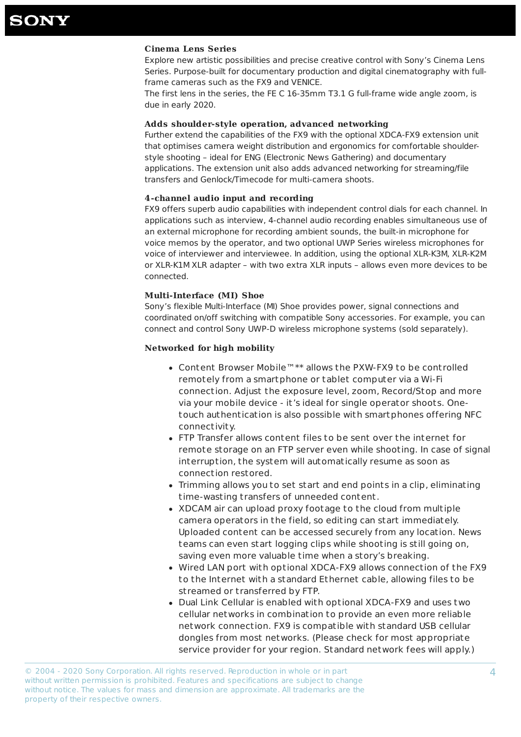### **Cinema Lens Series**

Explore new artistic possibilities and precise creative control with Sony's Cinema Lens Series. Purpose-built for documentary production and digital cinematography with fullframe cameras such as the FX9 and VENICE.

The first lens in the series, the FE C 16-35mm T3.1 G full-frame wide angle zoom, is due in early 2020.

### Adds shoulder-style operation, advanced networking

Further extend the capabilities of the FX9 with the optional XDCA-FX9 extension unit that optimises camera weight distribution and ergonomics for comfortable shoulderstyle shooting – ideal for ENG (Electronic News Gathering) and documentary applications. The extension unit also adds advanced networking for streaming/file transfers and Genlock/Timecode for multi-camera shoots.

### **4-channel audio input and recording**

FX9 offers superb audio capabilities with independent control dials for each channel. In applications such as interview, 4-channel audio recording enables simultaneous use of an external microphone for recording ambient sounds, the built-in microphone for voice memos by the operator, and two optional UWP Series wireless microphones for voice of interviewer and interviewee. In addition, using the optional XLR-K3M, XLR-K2M or XLR-K1M XLR adapter – with two extra XLR inputs – allows even more devices to be connected.

### **Multi-Interface (MI) Shoe**

Sony's flexible Multi-Interface (MI) Shoe provides power, signal connections and coordinated on/off switching with compatible Sony accessories. For example, you can connect and control Sony UWP-D wireless microphone systems (sold separately).

### **Networked for high mobility**

- Content Browser Mobile™\*\* allows the PXW-FX9 to be controlled remotely from a smartphone or tablet computer via a Wi-Fi connection. Adjust the exposure level, zoom, Record/Stop and more via your mobile device - it's ideal for single operator shoots. Onetouch authentication is also possible with smartphones offering NFC connectivity.
- FTP Transfer allows content files to be sent over the internet for remote storage on an FTP server even while shooting. In case of signal interruption, the system will automatically resume as soon as connection restored.
- Trimming allows you to set start and end points in a clip, eliminating time-wasting transfers of unneeded content.
- XDCAM air can upload proxy footage to the cloud from multiple camera operators in the field, so editing can start immediately. Uploaded content can be accessed securely from any location. News teams can even start logging clips while shooting is still going on, saving even more valuable time when a story's breaking.
- Wired LAN port with optional XDCA-FX9 allows connection of the FX9 to the Internet with a standard Ethernet cable, allowing files to be st reamed or transferred by FTP.
- Dual Link Cellular is enabled with optional XDCA-FX9 and uses two cellular networks in combination to provide an even more reliable network connection. FX9 is compatible with standard USB cellular dongles from most networks. (Please check for most appropriate service provider for your region. Standard network fees will apply.)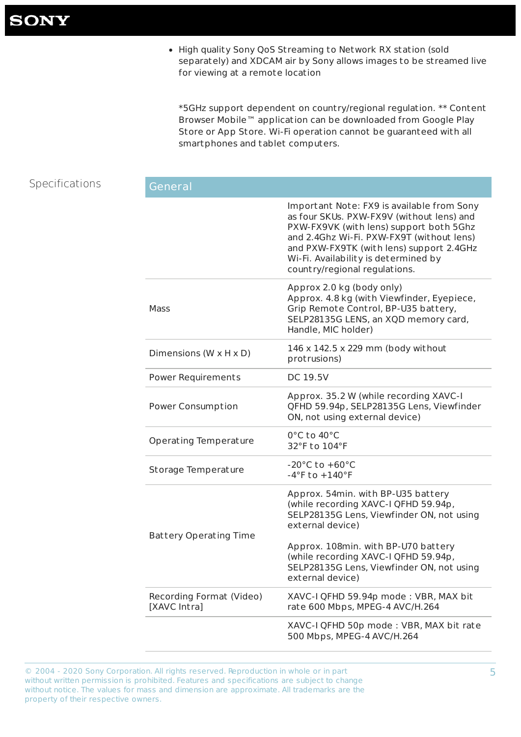• High quality Sony QoS Streaming to Network RX station (sold separately) and XDCAM air by Sony allows images to be streamed live for viewing at a remote location

\*5GHz support dependent on country/regional regulation. \*\* Content Browser Mobile™ application can be downloaded from Google Play Store or App Store. Wi-Fi operation cannot be guaranteed with all smartphones and tablet computers.

## Specifications

|  |  | eneralس |  |
|--|--|---------|--|
|  |  |         |  |

|                                          | Important Note: FX9 is available from Sony<br>as four SKUs. PXW-FX9V (without lens) and<br>PXW-FX9VK (with lens) support both 5Ghz<br>and 2.4Ghz Wi-Fi. PXW-FX9T (without lens)<br>and PXW-FX9TK (with lens) support 2.4GHz<br>Wi-Fi. Availability is determined by<br>country/regional regulations. |
|------------------------------------------|------------------------------------------------------------------------------------------------------------------------------------------------------------------------------------------------------------------------------------------------------------------------------------------------------|
| <b>Mass</b>                              | Approx 2.0 kg (body only)<br>Approx. 4.8 kg (with Viewfinder, Eyepiece,<br>Grip Remote Control, BP-U35 battery,<br>SELP28135G LENS, an XQD memory card,<br>Handle, MIC holder)                                                                                                                       |
| Dimensions (W $\times$ H $\times$ D)     | 146 x 142.5 x 229 mm (body without<br>protrusions)                                                                                                                                                                                                                                                   |
| <b>Power Requirements</b>                | <b>DC 19.5V</b>                                                                                                                                                                                                                                                                                      |
| <b>Power Consumption</b>                 | Approx. 35.2 W (while recording XAVC-I<br>QFHD 59.94p, SELP28135G Lens, Viewfinder<br>ON, not using external device)                                                                                                                                                                                 |
| <b>Operating Temperature</b>             | $0^{\circ}$ C to 40 $^{\circ}$ C<br>32°F to 104°F                                                                                                                                                                                                                                                    |
| <b>Storage Temperature</b>               | $-20^{\circ}$ C to $+60^{\circ}$ C<br>$-4$ °F to $+140$ °F                                                                                                                                                                                                                                           |
| <b>Battery Operating Time</b>            | Approx. 54min. with BP-U35 battery<br>(while recording XAVC-I QFHD 59.94p,<br>SELP28135G Lens, Viewfinder ON, not using<br>external device)                                                                                                                                                          |
|                                          | Approx. 108min. with BP-U70 battery<br>(while recording XAVC-I QFHD 59.94p,<br>SELP28135G Lens, Viewfinder ON, not using<br>external device)                                                                                                                                                         |
| Recording Format (Video)<br>[XAVC Intra] | XAVC-I QFHD 59.94p mode: VBR, MAX bit<br>rate 600 Mbps, MPEG-4 AVC/H.264                                                                                                                                                                                                                             |
|                                          | XAVC-I QFHD 50p mode: VBR, MAX bit rate<br>500 Mbps, MPEG-4 AVC/H.264                                                                                                                                                                                                                                |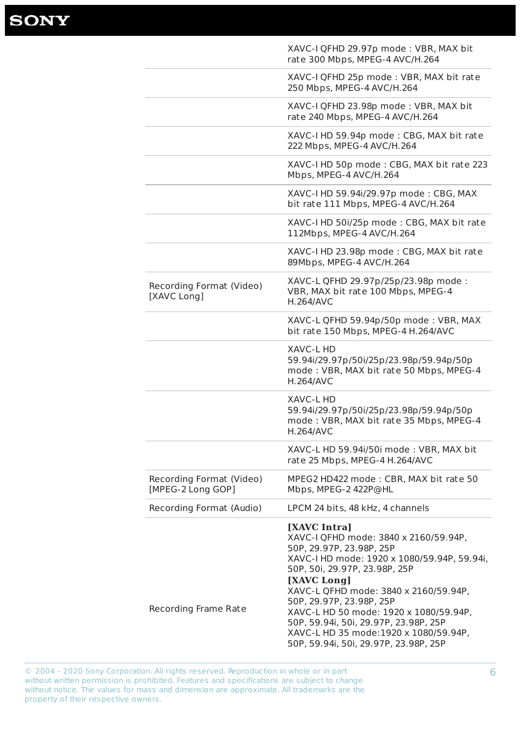## **SONY**

|                                               | XAVC-I QFHD 29.97p mode: VBR, MAX bit<br>rate 300 Mbps, MPEG-4 AVC/H.264                                                   |
|-----------------------------------------------|----------------------------------------------------------------------------------------------------------------------------|
|                                               | XAVC-I QFHD 25p mode: VBR, MAX bit rate<br>250 Mbps, MPEG-4 AVC/H.264                                                      |
|                                               | XAVC-I QFHD 23.98p mode: VBR, MAX bit<br>rate 240 Mbps, MPEG-4 AVC/H.264                                                   |
|                                               | XAVC-I HD 59.94p mode: CBG, MAX bit rate<br>222 Mbps, MPEG-4 AVC/H.264                                                     |
|                                               | XAVC-I HD 50p mode: CBG, MAX bit rate 223<br>Mbps, MPEG-4 AVC/H.264                                                        |
|                                               | XAVC-I HD 59.94i/29.97p mode: CBG, MAX<br>bit rate 111 Mbps, MPEG-4 AVC/H.264                                              |
|                                               | XAVC-I HD 50i/25p mode: CBG, MAX bit rate<br>112Mbps, MPEG-4 AVC/H.264                                                     |
|                                               | XAVC-I HD 23.98p mode: CBG, MAX bit rate<br>89Mbps, MPEG-4 AVC/H.264                                                       |
| Recording Format (Video)<br>[XAVC Long]       | XAVC-L QFHD 29.97p/25p/23.98p mode:<br>VBR, MAX bit rate 100 Mbps, MPEG-4<br><b>H.264/AVC</b>                              |
|                                               | XAVC-L QFHD 59.94p/50p mode: VBR, MAX<br>bit rate 150 Mbps, MPEG-4 H.264/AVC                                               |
|                                               | <b>XAVC-L HD</b><br>59.94i/29.97p/50i/25p/23.98p/59.94p/50p<br>mode: VBR, MAX bit rate 50 Mbps, MPEG-4<br><b>H.264/AVC</b> |
|                                               | <b>XAVC-L HD</b><br>59.94i/29.97p/50i/25p/23.98p/59.94p/50p<br>mode: VBR, MAX bit rate 35 Mbps, MPEG-4<br><b>H.264/AVC</b> |
|                                               | XAVC-L HD 59.94i/50i mode: VBR, MAX bit<br>rate 25 Mbps, MPEG-4 H.264/AVC                                                  |
| Recording Format (Video)<br>[MPEG-2 Long GOP] | MPEG2 HD422 mode: CBR, MAX bit rate 50<br>Mbps, MPEG-2 422P@HL                                                             |
| Recording Format (Audio)                      | LPCM 24 bits, 48 kHz, 4 channels                                                                                           |
|                                               | [XAVC Intra]<br>XAVC-I QFHD mode: 3840 x 2160/59.94P,<br>50P, 29.97P, 23.98P, 25P                                          |

### Recording Frame Rate

XAVC-I HD mode: 1920 x 1080/59.94P, 59.94i, 50P, 50i, 29.97P, 23.98P, 25P **[XAVC Long]** XAVC-L QFHD mode: 3840 x 2160/59.94P, 50P, 29.97P, 23.98P, 25P XAVC-L HD 50 mode: 1920 x 1080/59.94P, 50P, 59.94i, 50i, 29.97P, 23.98P, 25P XAVC-L HD 35 mode:1920 x 1080/59.94P, 50P, 59.94i, 50i, 29.97P, 23.98P, 25P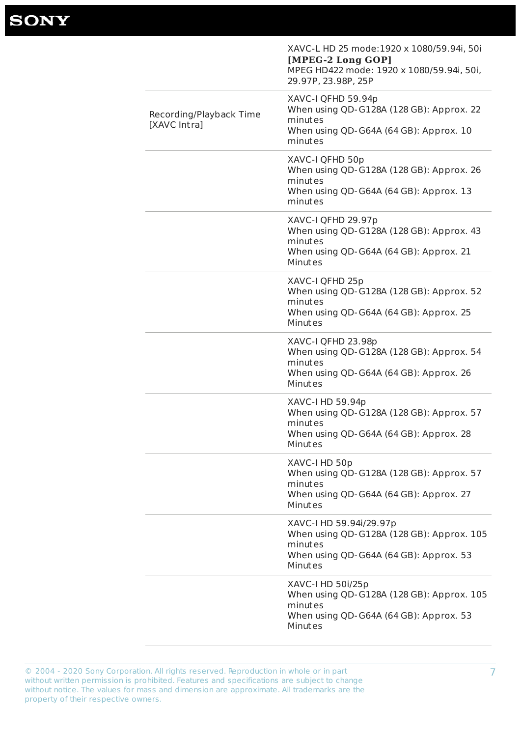© 2004 - 2020 Sony Corporation. All rights reserved. Reproduction in whole or in part without written permission is prohibited. Features and specifications are subject to change without notice. The values for mass and dimension are approximate. All trademarks are the property of their respective owners.

When  $\cos \theta$   $\cos \theta$  and  $\cos \theta$  and  $\cos \theta$ . Approx. So Minutes

XAVC-I HD 50i/25p When using QD-G128A (128 GB): Approx. 105 minutes When using QD-G64A (64 GB): Approx. 53 Minutes

|                                         | XAVC-L HD 25 mode:1920 x 1080/59.94i, 50i<br>[MPEG-2 Long GOP]<br>MPEG HD422 mode: 1920 x 1080/59.94i, 50i,<br>29.97P, 23.98P, 25P |
|-----------------------------------------|------------------------------------------------------------------------------------------------------------------------------------|
| Recording/Playback Time<br>[XAVC Intra] | XAVC-I QFHD 59.94p<br>When using QD-G128A (128 GB): Approx. 22<br>minutes<br>When using QD-G64A (64 GB): Approx. 10<br>minutes     |
|                                         | XAVC-I QFHD 50p<br>When using QD-G128A (128 GB): Approx. 26<br>minutes<br>When using QD-G64A (64 GB): Approx. 13<br>minutes        |
|                                         | XAVC-I QFHD 29.97p<br>When using QD-G128A (128 GB): Approx. 43<br>minutes<br>When using QD-G64A (64 GB): Approx. 21<br>Minutes     |
|                                         | XAVC-I QFHD 25p<br>When using QD-G128A (128 GB): Approx. 52<br>minutes<br>When using QD-G64A (64 GB): Approx. 25<br>Minutes        |
|                                         | XAVC-I QFHD 23.98p<br>When using QD-G128A (128 GB): Approx. 54<br>minutes<br>When using QD-G64A (64 GB): Approx. 26<br>Minutes     |
|                                         | XAVC-I HD 59.94p<br>When using QD-G128A (128 GB): Approx. 57<br>minutes<br>When using QD-G64A (64 GB): Approx. 28<br>Minutes       |
|                                         | XAVC-I HD 50p<br>When using QD-G128A (128 GB): Approx. 57<br>minutes<br>When using QD-G64A (64 GB): Approx. 27<br>Minutes          |
|                                         | XAVC-I HD 59.94i/29.97p<br>When using QD-G128A (128 GB): Approx. 105<br>minutes<br>When using OD-G64A (64 GB): Approx 53           |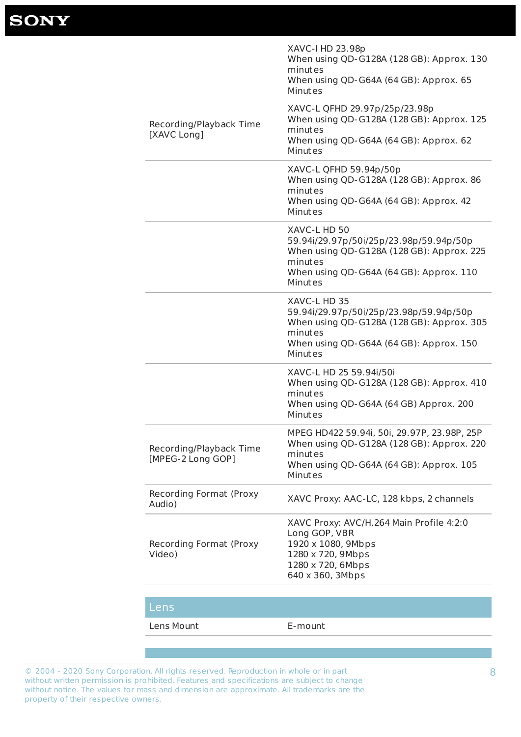© 2004 - 2020 Sony Corporation. All rights reserved. Reproduction in whole or in part without written permission is prohibited. Features and specifications are subject to change without notice. The values for mass and dimension are approximate. All trademarks are the property of their respective owners.

|                                                   | XAVC-I HD 23.98p<br>When using QD-G128A (128 GB): Approx. 130<br>minutes<br>When using QD-G64A (64 GB): Approx. 65<br>Minutes                                         |
|---------------------------------------------------|-----------------------------------------------------------------------------------------------------------------------------------------------------------------------|
| Recording/Playback Time<br>[XAVC Long]            | XAVC-L QFHD 29.97p/25p/23.98p<br>When using QD-G128A (128 GB): Approx. 125<br>minutes<br>When using QD-G64A (64 GB): Approx. 62<br>Minutes                            |
|                                                   | XAVC-L QFHD 59.94p/50p<br>When using QD-G128A (128 GB): Approx. 86<br>minutes<br>When using QD-G64A (64 GB): Approx. 42<br>Minutes                                    |
|                                                   | XAVC-L HD 50<br>59.94i/29.97p/50i/25p/23.98p/59.94p/50p<br>When using QD-G128A (128 GB): Approx. 225<br>minutes<br>When using QD-G64A (64 GB): Approx. 110<br>Minutes |
|                                                   | XAVC-L HD 35<br>59.94i/29.97p/50i/25p/23.98p/59.94p/50p<br>When using QD-G128A (128 GB): Approx. 305<br>minutes<br>When using QD-G64A (64 GB): Approx. 150<br>Minutes |
|                                                   | XAVC-L HD 25 59.94i/50i<br>When using QD-G128A (128 GB): Approx. 410<br>minutes<br>When using QD-G64A (64 GB) Approx. 200<br>Minutes                                  |
| Recording/Playback Time<br>[MPEG-2 Long GOP]      | MPEG HD422 59.94i, 50i, 29.97P, 23.98P, 25P<br>When using QD-G128A (128 GB): Approx. 220<br>minutes<br>When using QD-G64A (64 GB): Approx. 105<br>Minutes             |
| <b>Recording Format (Proxy</b><br>Audio)          | XAVC Proxy: AAC-LC, 128 kbps, 2 channels                                                                                                                              |
| <b>Recording Format (Proxy)</b><br>$\binom{1}{1}$ | XAVC Proxy: AVC/H.264 Main Profile 4:2:0<br>Long GOP, VBR<br>1920 x 1080, 9Mbps<br>$1200 \times 720$ OMbsc                                                            |

Video) 1280 x 720, 9Mbps 1280 x 720, 6Mbps 640 x 360, 3Mbps

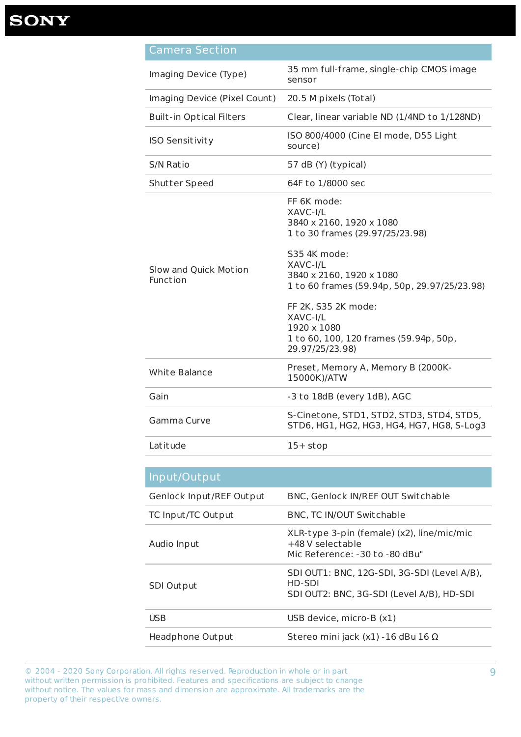| <u>Camera Section</u>             |                                                                                                                                                                                                                                                                                                               |
|-----------------------------------|---------------------------------------------------------------------------------------------------------------------------------------------------------------------------------------------------------------------------------------------------------------------------------------------------------------|
| Imaging Device (Type)             | 35 mm full-frame, single-chip CMOS image<br>sensor                                                                                                                                                                                                                                                            |
| Imaging Device (Pixel Count)      | 20.5 M pixels (Total)                                                                                                                                                                                                                                                                                         |
| <b>Built-in Optical Filters</b>   | Clear, linear variable ND (1/4ND to 1/128ND)                                                                                                                                                                                                                                                                  |
| <b>ISO Sensitivity</b>            | ISO 800/4000 (Cine El mode, D55 Light<br>source)                                                                                                                                                                                                                                                              |
| S/N Ratio                         | 57 dB (Y) (typical)                                                                                                                                                                                                                                                                                           |
| <b>Shutter Speed</b>              | 64F to 1/8000 sec                                                                                                                                                                                                                                                                                             |
| Slow and Quick Motion<br>Function | FF 6K mode:<br>XAVC-I/L<br>3840 x 2160, 1920 x 1080<br>1 to 30 frames (29.97/25/23.98)<br>S35 4K mode:<br>XAVC-I/L<br>3840 x 2160, 1920 x 1080<br>1 to 60 frames (59.94p, 50p, 29.97/25/23.98)<br>FF 2K, S35 2K mode:<br>XAVC-I/L<br>1920 x 1080<br>1 to 60, 100, 120 frames (59.94p, 50p,<br>29.97/25/23.98) |
| <b>White Balance</b>              | Preset, Memory A, Memory B (2000K-<br>15000K)/ATW                                                                                                                                                                                                                                                             |
| Gain                              | -3 to 18dB (every 1dB), AGC                                                                                                                                                                                                                                                                                   |
| Gamma Curve                       | S-Cinetone, STD1, STD2, STD3, STD4, STD5,<br>STD6, HG1, HG2, HG3, HG4, HG7, HG8, S-Log3                                                                                                                                                                                                                       |
| Latitude                          | $15+stop$                                                                                                                                                                                                                                                                                                     |

| Input/Output             |                                                                                                  |
|--------------------------|--------------------------------------------------------------------------------------------------|
| Genlock Input/REF Output | <b>BNC, Genlock IN/REF OUT Switchable</b>                                                        |
| TC Input/TC Out put      | <b>BNC, TC IN/OUT Switchable</b>                                                                 |
| Audio Input              | XLR-type 3-pin (female) (x2), line/mic/mic<br>+48 V selectable<br>Mic Reference: -30 to -80 dBu" |

| SDI Out put      | SDI OUT1: BNC, 12G-SDI, 3G-SDI (Level A/B),<br>HD-SDI<br>SDI OUT2: BNC, 3G-SDI (Level A/B), HD-SDI |
|------------------|----------------------------------------------------------------------------------------------------|
| <b>USB</b>       | USB device, micro-B (x1)                                                                           |
| Headphone Output | Stereo mini jack $(x1)$ -16 dBu 16 $\Omega$                                                        |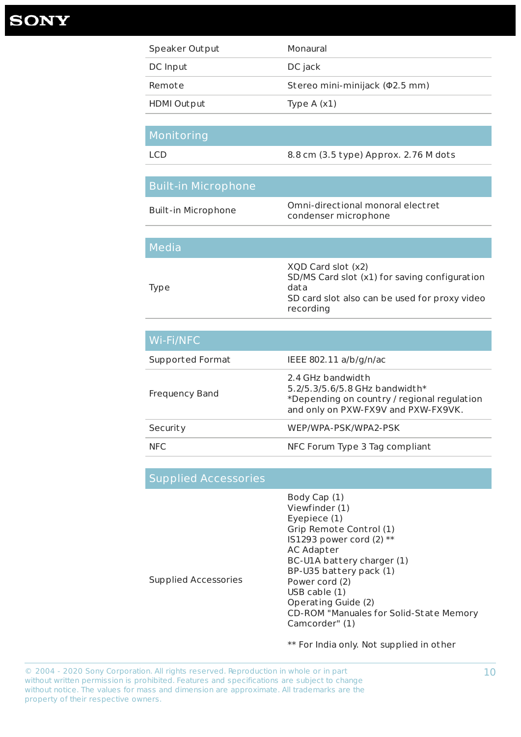| Speaker Output | Monaural                       |
|----------------|--------------------------------|
| DC Input       | DC jack                        |
| Remote         | Stereo mini-minijack (02.5 mm) |
| HDMI Out put   | Type $A(x1)$                   |
|                |                                |

Body Cap (1) Viewfinder (1) Eyepiece (1) Grip Remote Control (1) IS1293 power cord  $(2)$  \*\* AC Adapter

| .                          |                                                                                                                                           |
|----------------------------|-------------------------------------------------------------------------------------------------------------------------------------------|
| <b>LCD</b>                 | 8.8 cm (3.5 type) Approx. 2.76 M dots                                                                                                     |
|                            |                                                                                                                                           |
| <b>Built-in Microphone</b> |                                                                                                                                           |
| <b>Built-in Microphone</b> | Omni-directional monoral electret<br>condenser microphone                                                                                 |
|                            |                                                                                                                                           |
| Media                      |                                                                                                                                           |
| <b>Type</b>                | XQD Card slot (x2)<br>SD/MS Card slot (x1) for saving configuration<br>data<br>SD card slot also can be used for proxy video<br>recording |

| Wi-Fi/NFC             |                                                                                                                                             |
|-----------------------|---------------------------------------------------------------------------------------------------------------------------------------------|
| Supported Format      | IEEE 802.11 $a/b/q/n/ac$                                                                                                                    |
| <b>Frequency Band</b> | 2.4 GHz bandwidth<br>$5.2/5.3/5.6/5.8$ GHz bandwidth*<br>*Depending on country / regional regulation<br>and only on PXW-FX9V and PXW-FX9VK. |
| Security              | WEP/WPA-PSK/WPA2-PSK                                                                                                                        |
| <b>NFC</b>            | NFC Forum Type 3 Tag compliant                                                                                                              |

## Supplied Accessories

**Monitoring** 

### Supplied Accessories

BC-U1A battery charger (1) BP-U35 battery pack (1) Power cord (2)  $USB$  cable  $(1)$ Operating Guide (2) CD-ROM "Manuales for Solid-State Memory Camcorder" (1)

\*\* For India only. Not supplied in other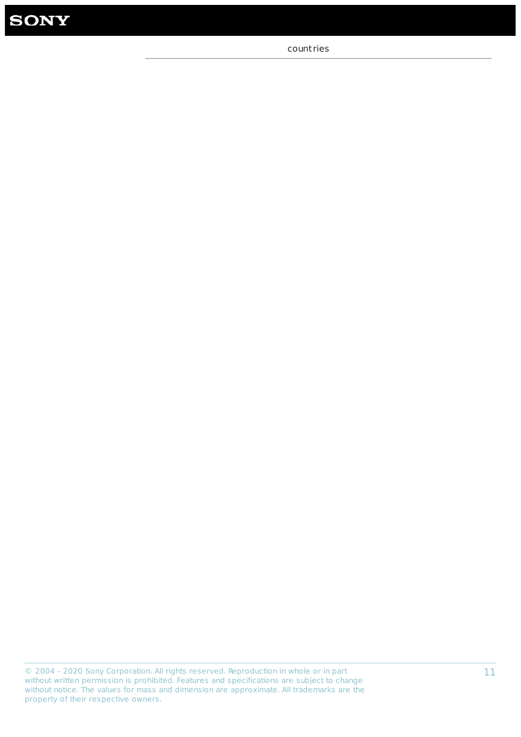

count ries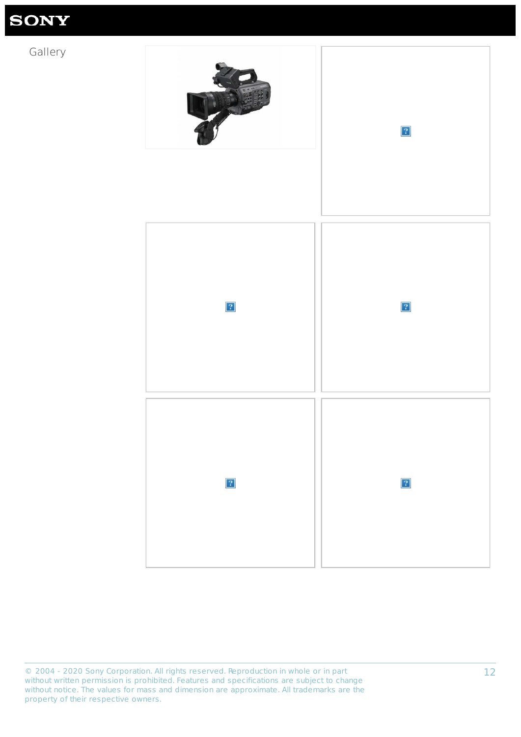© 2004 - 2020 Sony Corporation. All rights reserved. Reproduction in whole or in part without written permission is prohibited. Features and specifications are subject to change without notice. The values for mass and dimension are approximate. All trademarks are the property of their respective owners.

# **SONY**

## Gallery